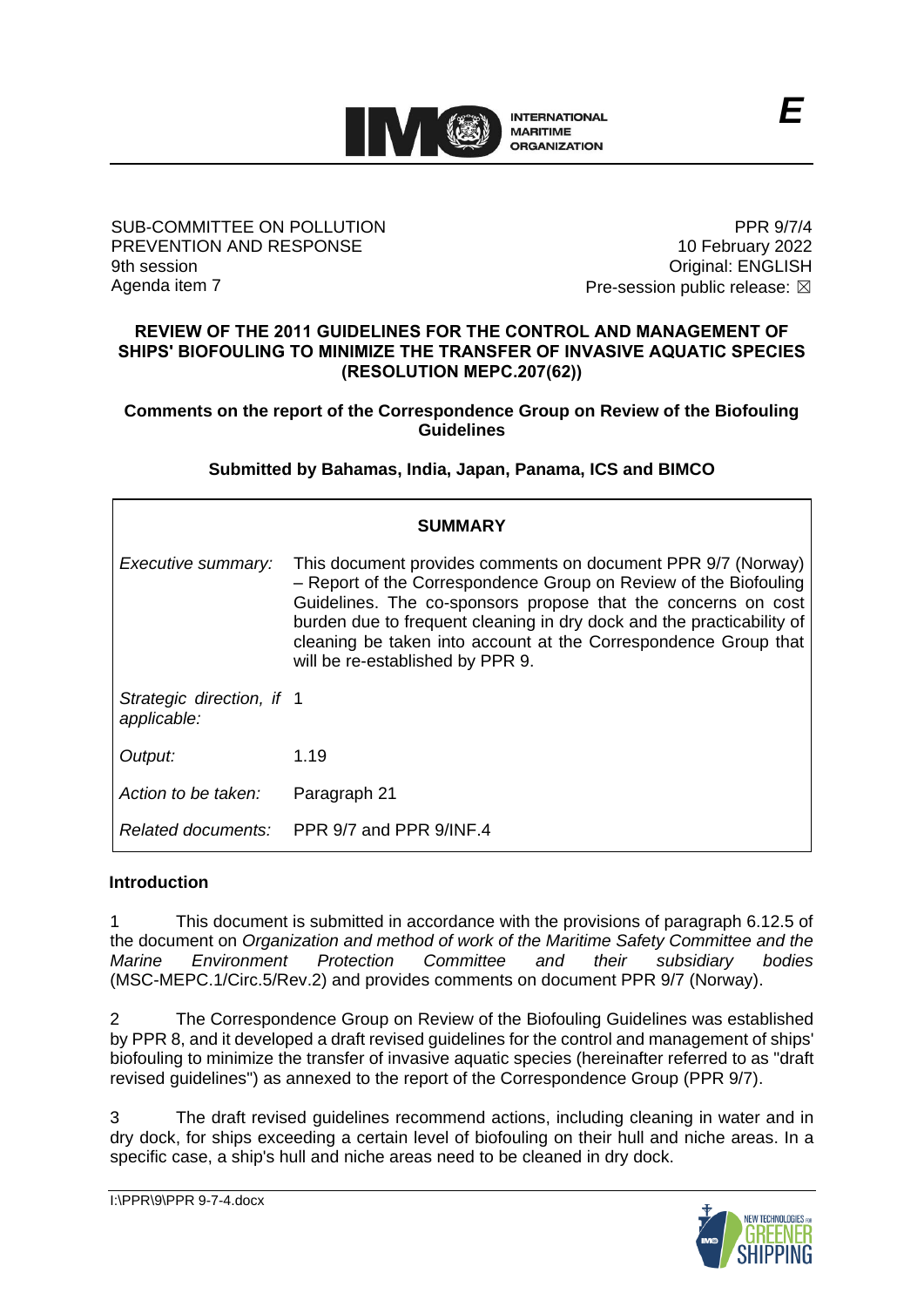

## SUB-COMMITTEE ON POLLUTION PREVENTION AND RESPONSE 9th session Agenda item 7

PPR 9/7/4 10 February 2022 Original: ENGLISH Pre-session public release:  $\boxtimes$ 

## **REVIEW OF THE 2011 GUIDELINES FOR THE CONTROL AND MANAGEMENT OF SHIPS' BIOFOULING TO MINIMIZE THE TRANSFER OF INVASIVE AQUATIC SPECIES (RESOLUTION MEPC.207(62))**

## **Comments on the report of the Correspondence Group on Review of the Biofouling Guidelines**

# **Submitted by Bahamas, India, Japan, Panama, ICS and BIMCO**

| <b>SUMMARY</b>                           |                                                                                                                                                                                                                                                                                                                                                                                   |
|------------------------------------------|-----------------------------------------------------------------------------------------------------------------------------------------------------------------------------------------------------------------------------------------------------------------------------------------------------------------------------------------------------------------------------------|
| Executive summary:                       | This document provides comments on document PPR 9/7 (Norway)<br>- Report of the Correspondence Group on Review of the Biofouling<br>Guidelines. The co-sponsors propose that the concerns on cost<br>burden due to frequent cleaning in dry dock and the practicability of<br>cleaning be taken into account at the Correspondence Group that<br>will be re-established by PPR 9. |
| Strategic direction, if 1<br>applicable: |                                                                                                                                                                                                                                                                                                                                                                                   |
| Output:                                  | 1.19                                                                                                                                                                                                                                                                                                                                                                              |
| Action to be taken:                      | Paragraph 21                                                                                                                                                                                                                                                                                                                                                                      |
|                                          | Related documents: PPR 9/7 and PPR 9/INF.4                                                                                                                                                                                                                                                                                                                                        |

# **Introduction**

1 This document is submitted in accordance with the provisions of paragraph 6.12.5 of the document on *Organization and method of work of the Maritime Safety Committee and the Marine Environment Protection Committee and their subsidiary bodies* (MSC-MEPC.1/Circ.5/Rev.2) and provides comments on document PPR 9/7 (Norway).

2 The Correspondence Group on Review of the Biofouling Guidelines was established by PPR 8, and it developed a draft revised guidelines for the control and management of ships' biofouling to minimize the transfer of invasive aquatic species (hereinafter referred to as "draft revised guidelines") as annexed to the report of the Correspondence Group (PPR 9/7).

3 The draft revised guidelines recommend actions, including cleaning in water and in dry dock, for ships exceeding a certain level of biofouling on their hull and niche areas. In a specific case, a ship's hull and niche areas need to be cleaned in dry dock.

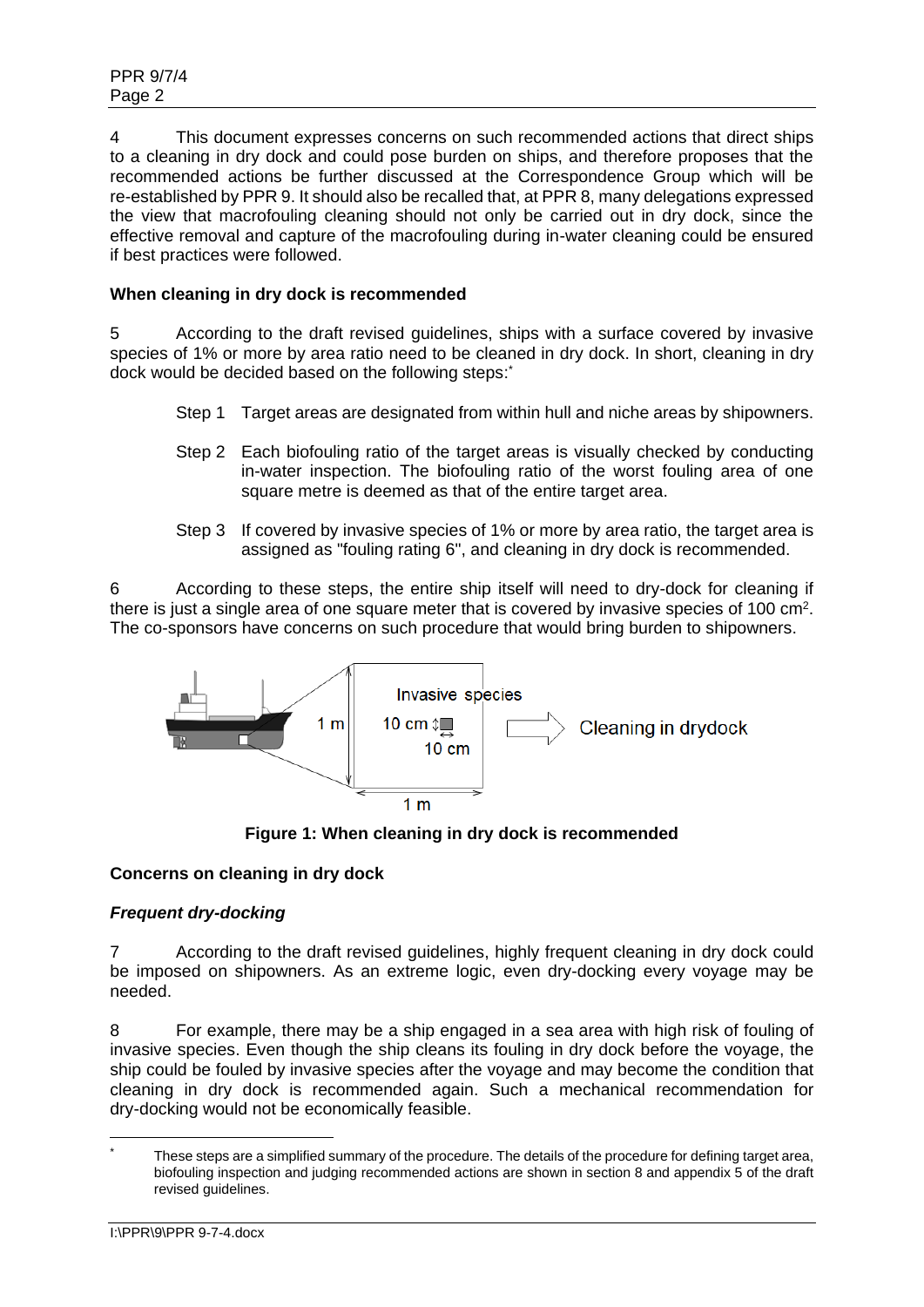4 This document expresses concerns on such recommended actions that direct ships to a cleaning in dry dock and could pose burden on ships, and therefore proposes that the recommended actions be further discussed at the Correspondence Group which will be re-established by PPR 9. It should also be recalled that, at PPR 8, many delegations expressed the view that macrofouling cleaning should not only be carried out in dry dock, since the effective removal and capture of the macrofouling during in-water cleaning could be ensured if best practices were followed.

# **When cleaning in dry dock is recommended**

5 According to the draft revised guidelines, ships with a surface covered by invasive species of 1% or more by area ratio need to be cleaned in dry dock. In short, cleaning in dry dock would be decided based on the following steps:

- Step 1 Target areas are designated from within hull and niche areas by shipowners.
- Step 2 Each biofouling ratio of the target areas is visually checked by conducting in-water inspection. The biofouling ratio of the worst fouling area of one square metre is deemed as that of the entire target area.
- Step 3 If covered by invasive species of 1% or more by area ratio, the target area is assigned as "fouling rating 6", and cleaning in dry dock is recommended.

6 According to these steps, the entire ship itself will need to dry-dock for cleaning if there is just a single area of one square meter that is covered by invasive species of 100  $\text{cm}^2$ . The co-sponsors have concerns on such procedure that would bring burden to shipowners.



**Figure 1: When cleaning in dry dock is recommended**

## **Concerns on cleaning in dry dock**

# *Frequent dry-docking*

7 According to the draft revised guidelines, highly frequent cleaning in dry dock could be imposed on shipowners. As an extreme logic, even dry-docking every voyage may be needed.

8 For example, there may be a ship engaged in a sea area with high risk of fouling of invasive species. Even though the ship cleans its fouling in dry dock before the voyage, the ship could be fouled by invasive species after the voyage and may become the condition that cleaning in dry dock is recommended again. Such a mechanical recommendation for dry-docking would not be economically feasible.

These steps are a simplified summary of the procedure. The details of the procedure for defining target area, biofouling inspection and judging recommended actions are shown in section 8 and appendix 5 of the draft revised guidelines.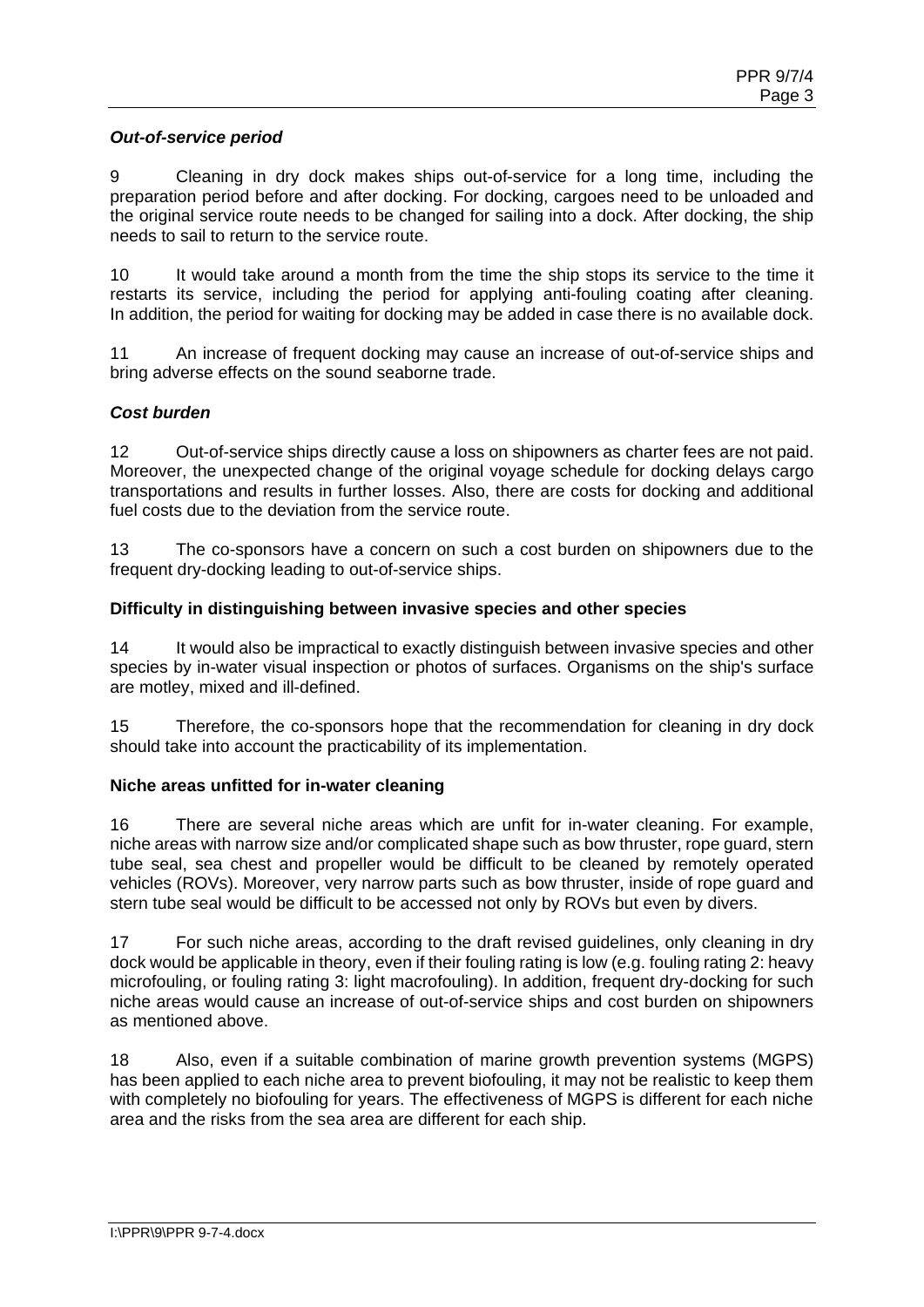## *Out-of-service period*

9 Cleaning in dry dock makes ships out-of-service for a long time, including the preparation period before and after docking. For docking, cargoes need to be unloaded and the original service route needs to be changed for sailing into a dock. After docking, the ship needs to sail to return to the service route.

10 It would take around a month from the time the ship stops its service to the time it restarts its service, including the period for applying anti-fouling coating after cleaning. In addition, the period for waiting for docking may be added in case there is no available dock.

11 An increase of frequent docking may cause an increase of out-of-service ships and bring adverse effects on the sound seaborne trade.

## *Cost burden*

12 Out-of-service ships directly cause a loss on shipowners as charter fees are not paid. Moreover, the unexpected change of the original voyage schedule for docking delays cargo transportations and results in further losses. Also, there are costs for docking and additional fuel costs due to the deviation from the service route.

13 The co-sponsors have a concern on such a cost burden on shipowners due to the frequent dry-docking leading to out-of-service ships.

### **Difficulty in distinguishing between invasive species and other species**

14 It would also be impractical to exactly distinguish between invasive species and other species by in-water visual inspection or photos of surfaces. Organisms on the ship's surface are motley, mixed and ill-defined.

15 Therefore, the co-sponsors hope that the recommendation for cleaning in dry dock should take into account the practicability of its implementation.

### **Niche areas unfitted for in-water cleaning**

16 There are several niche areas which are unfit for in-water cleaning. For example, niche areas with narrow size and/or complicated shape such as bow thruster, rope guard, stern tube seal, sea chest and propeller would be difficult to be cleaned by remotely operated vehicles (ROVs). Moreover, very narrow parts such as bow thruster, inside of rope guard and stern tube seal would be difficult to be accessed not only by ROVs but even by divers.

17 For such niche areas, according to the draft revised guidelines, only cleaning in dry dock would be applicable in theory, even if their fouling rating is low (e.g. fouling rating 2: heavy microfouling, or fouling rating 3: light macrofouling). In addition, frequent dry-docking for such niche areas would cause an increase of out-of-service ships and cost burden on shipowners as mentioned above.

18 Also, even if a suitable combination of marine growth prevention systems (MGPS) has been applied to each niche area to prevent biofouling, it may not be realistic to keep them with completely no biofouling for years. The effectiveness of MGPS is different for each niche area and the risks from the sea area are different for each ship.